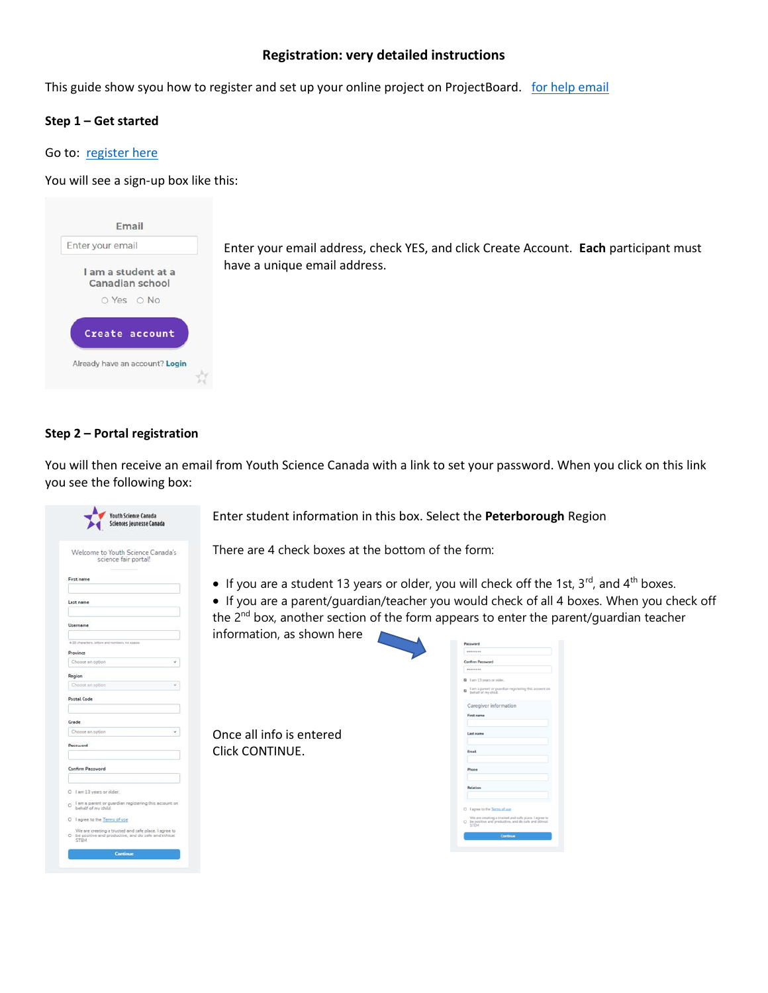# **Registration: very detailed instructions**

This guide show syou how to register and set up your online project on ProjectBoard. [for help email](mailto:prsfair2020@gmail.com)

## **Step 1 – Get started**

### Go to: [register here](https://youthscience.ca/peterborough/)

You will see a sign-up box like this:



Enter your email address, check YES, and click Create Account. **Each** participant must have a unique email address.

## **Step 2 – Portal registration**

You will then receive an email from Youth Science Canada with a link to set your password. When you click on this link you see the following box:

| Sciences jeunesse Canada                                                                                                |  |
|-------------------------------------------------------------------------------------------------------------------------|--|
| Welcome to Youth Science Canada's<br>science fair portal!                                                               |  |
| First name                                                                                                              |  |
| Last name                                                                                                               |  |
| Username                                                                                                                |  |
| 6-20 sharectors, tellars and numbers, no spasse                                                                         |  |
| Province                                                                                                                |  |
| Choose an option                                                                                                        |  |
| Region<br>Choose an aption                                                                                              |  |
| Postal Code                                                                                                             |  |
|                                                                                                                         |  |
| Grade                                                                                                                   |  |
| Choose an option                                                                                                        |  |
| Password.                                                                                                               |  |
|                                                                                                                         |  |
| Confirm Password                                                                                                        |  |
| O I am 13 years or older.                                                                                               |  |
| O lam a parent or guardian registering this account on<br>behalf of my child.                                           |  |
| O I agree to the Terms of use                                                                                           |  |
| We are creating a trusted and safe place. I agree to<br>D be positive and productive, and do safe and ethical.<br>STEM. |  |
| <b>Continue</b>                                                                                                         |  |

Enter student information in this box. Select the **Peterborough** Region

There are 4 check boxes at the bottom of the form:

• If you are a student 13 years or older, you will check off the 1st,  $3^{rd}$ , and  $4^{th}$  boxes.

• If you are a parent/guardian/teacher you would check of all 4 boxes. When you check off the  $2^{nd}$  box, another section of the form appears to enter the parent/quardian teacher

information, as shown here



Once all info is entered Click CONTINUE.

| Confirm Password |                                                                                                                |  |
|------------------|----------------------------------------------------------------------------------------------------------------|--|
|                  |                                                                                                                |  |
|                  | 2 I am 13 years or older.                                                                                      |  |
| a                | I am a parent or guardian registering this account on<br>behalf of my child.                                   |  |
|                  | Caregiver information                                                                                          |  |
|                  | First name                                                                                                     |  |
|                  |                                                                                                                |  |
|                  | Last name                                                                                                      |  |
|                  |                                                                                                                |  |
| <b>Fmail</b>     |                                                                                                                |  |
| Phone            |                                                                                                                |  |
|                  |                                                                                                                |  |
| Relation         |                                                                                                                |  |
|                  |                                                                                                                |  |
|                  |                                                                                                                |  |
| $\circ$          | I agree to the Terms of use                                                                                    |  |
|                  | We are creating a trusted and safe place. I agree to<br>O be positive and productive, and do safe and ethical. |  |
| <b>STEM</b>      |                                                                                                                |  |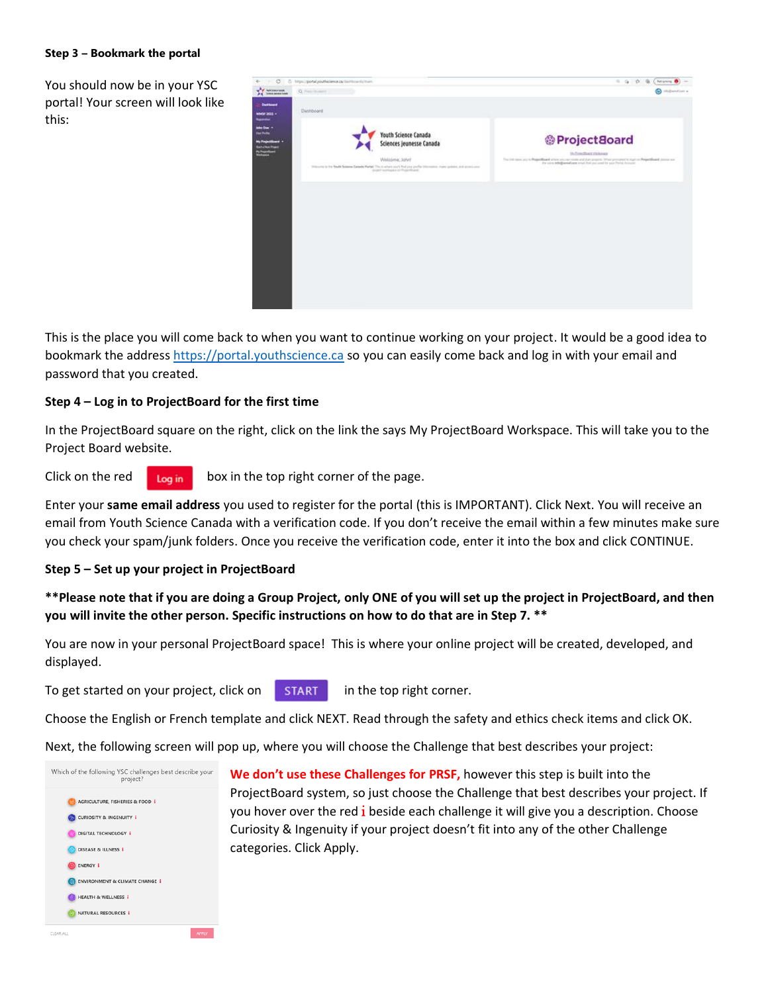#### **Step 3 – Bookmark the portal**

You should now be in your YSC portal! Your screen will look like this:



This is the place you will come back to when you want to continue working on your project. It would be a good idea to bookmark the address [https://portal.youthscience.ca](https://portal.youthscience.ca/) so you can easily come back and log in with your email and password that you created.

# **Step 4 – Log in to ProjectBoard for the first time**

In the ProjectBoard square on the right, click on the link the says My ProjectBoard Workspace. This will take you to the Project Board website.

Click on the red  $\log_{10}$  box in the top right corner of the page.

Enter your **same email address** you used to register for the portal (this is IMPORTANT). Click Next. You will receive an email from Youth Science Canada with a verification code. If you don't receive the email within a few minutes make sure you check your spam/junk folders. Once you receive the verification code, enter it into the box and click CONTINUE.

### **Step 5 – Set up your project in ProjectBoard**

# **\*\*Please note that if you are doing a Group Project, only ONE of you will set up the project in ProjectBoard, and then you will invite the other person. Specific instructions on how to do that are in Step 7. \*\***

You are now in your personal ProjectBoard space! This is where your online project will be created, developed, and displayed.

To get started on your project, click on  $\overline{\phantom{a}}$  start in the top right corner.

Choose the English or French template and click NEXT. Read through the safety and ethics check items and click OK.

Next, the following screen will pop up, where you will choose the Challenge that best describes your project:



**We don't use these Challenges for PRSF,** however this step is built into the ProjectBoard system, so just choose the Challenge that best describes your project. If you hover over the red *i* beside each challenge it will give you a description. Choose Curiosity & Ingenuity if your project doesn't fit into any of the other Challenge categories. Click Apply.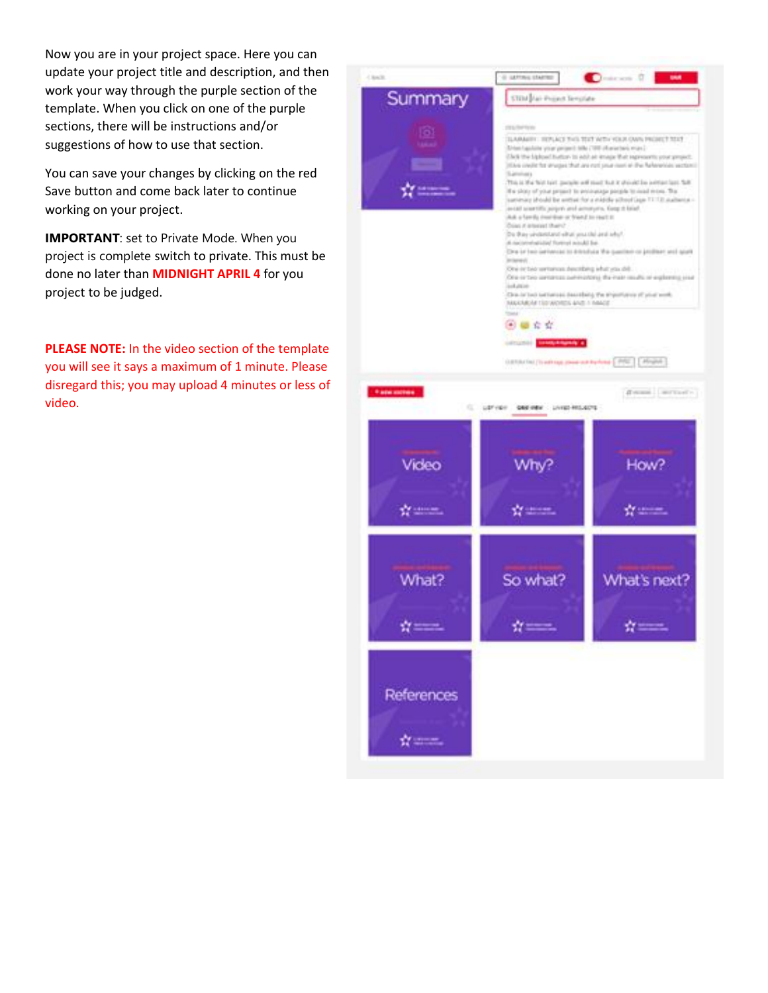Now you are in your project space. Here you can update your project title and description, and then work your way through the purple section of the template. When you click on one of the purple sections, there will be instructions and/or suggestions of how to use that section.

You can save your changes by clicking on the red Save button and come back later to continue working on your project.

**IMPORTANT:** set to Private Mode. When you project is complete switch to private. This must be done no later than **MIDNIGHT APRIL 4** for you project to be judged.

**PLEASE NOTE:** In the video section of the template you will see it says a maximum of 1 minute. Please disregard this; you may upload 4 minutes or less of video.